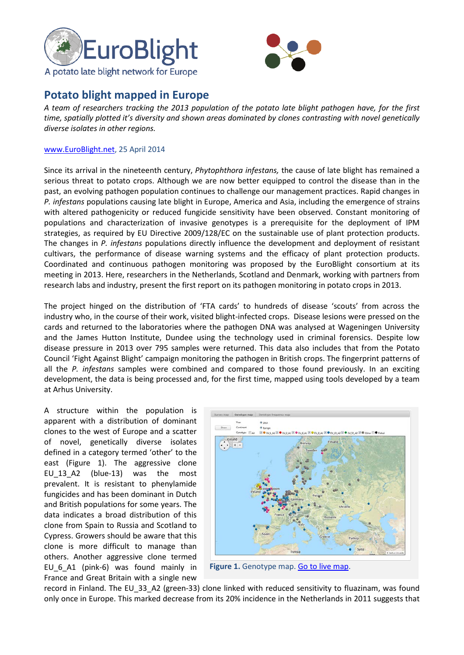



## **Potato blight mapped in Europe**

*A team of researchers tracking the 2013 population of the potato late blight pathogen have, for the first time, spatially plotted it's diversity and shown areas dominated by clones contrasting with novel genetically diverse isolates in other regions.* 

## www.EuroBlight.net, 25 April 2014

Since its arrival in the nineteenth century, *Phytophthora infestans,* the cause of late blight has remained a serious threat to potato crops. Although we are now better equipped to control the disease than in the past, an evolving pathogen population continues to challenge our management practices. Rapid changes in *P. infestans* populations causing late blight in Europe, America and Asia, including the emergence of strains with altered pathogenicity or reduced fungicide sensitivity have been observed. Constant monitoring of populations and characterization of invasive genotypes is a prerequisite for the deployment of IPM strategies, as required by EU Directive 2009/128/EC on the sustainable use of plant protection products. The changes in *P. infestans* populations directly influence the development and deployment of resistant cultivars, the performance of disease warning systems and the efficacy of plant protection products. Coordinated and continuous pathogen monitoring was proposed by the EuroBlight consortium at its meeting in 2013. Here, researchers in the Netherlands, Scotland and Denmark, working with partners from research labs and industry, present the first report on its pathogen monitoring in potato crops in 2013.

The project hinged on the distribution of 'FTA cards' to hundreds of disease 'scouts' from across the industry who, in the course of their work, visited blight-infected crops. Disease lesions were pressed on the cards and returned to the laboratories where the pathogen DNA was analysed at Wageningen University and the James Hutton Institute, Dundee using the technology used in criminal forensics. Despite low disease pressure in 2013 over 795 samples were returned. This data also includes that from the Potato Council 'Fight Against Blight' campaign monitoring the pathogen in British crops. The fingerprint patterns of all the *P. infestans* samples were combined and compared to those found previously. In an exciting development, the data is being processed and, for the first time, mapped using tools developed by a team at Arhus University.

A structure within the population is apparent with a distribution of dominant clones to the west of Europe and a scatter of novel, genetically diverse isolates defined in a category termed 'other' to the east (Figure 1). The aggressive clone EU\_13\_A2 (blue-13) was the most prevalent. It is resistant to phenylamide fungicides and has been dominant in Dutch and British populations for some years. The data indicates a broad distribution of this clone from Spain to Russia and Scotland to Cypress. Growers should be aware that this clone is more difficult to manage than others. Another aggressive clone termed EU\_6\_A1 (pink-6) was found mainly in France and Great Britain with a single new



**Figure 1.** Genotype map. [Go to live map.](http://euroblight.net/pathogen-characteristics-and-host-resistance/sampling-sites-and-genotype-maps/)

record in Finland. The EU 33 A2 (green-33) clone linked with reduced sensitivity to fluazinam, was found only once in Europe. This marked decrease from its 20% incidence in the Netherlands in 2011 suggests that